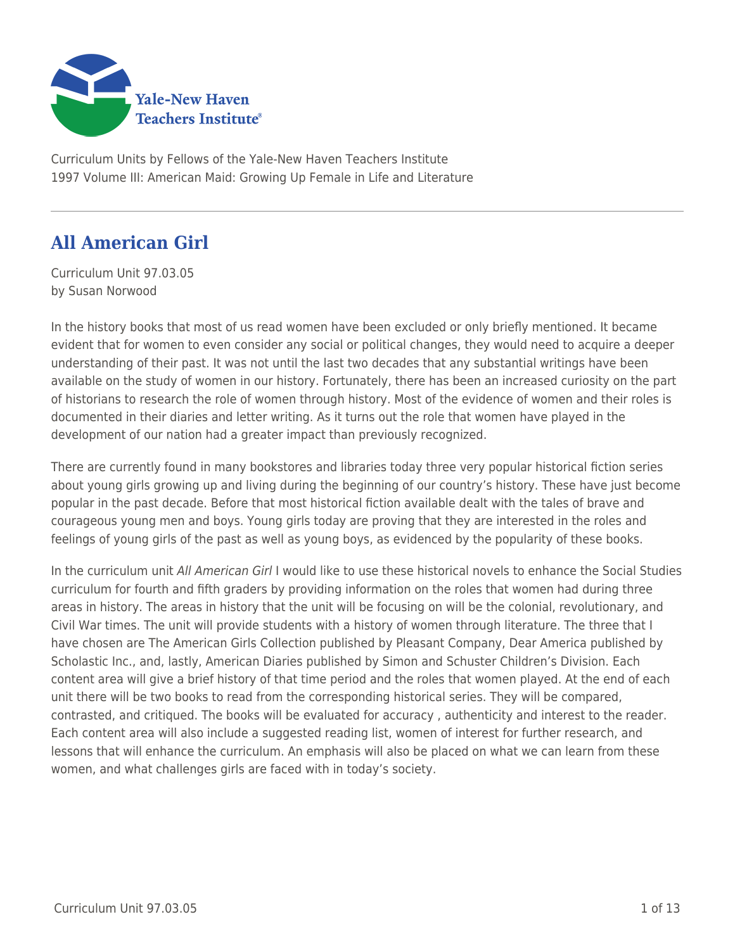

Curriculum Units by Fellows of the Yale-New Haven Teachers Institute 1997 Volume III: American Maid: Growing Up Female in Life and Literature

# **All American Girl**

Curriculum Unit 97.03.05 by Susan Norwood

In the history books that most of us read women have been excluded or only briefly mentioned. It became evident that for women to even consider any social or political changes, they would need to acquire a deeper understanding of their past. It was not until the last two decades that any substantial writings have been available on the study of women in our history. Fortunately, there has been an increased curiosity on the part of historians to research the role of women through history. Most of the evidence of women and their roles is documented in their diaries and letter writing. As it turns out the role that women have played in the development of our nation had a greater impact than previously recognized.

There are currently found in many bookstores and libraries today three very popular historical fiction series about young girls growing up and living during the beginning of our country's history. These have just become popular in the past decade. Before that most historical fiction available dealt with the tales of brave and courageous young men and boys. Young girls today are proving that they are interested in the roles and feelings of young girls of the past as well as young boys, as evidenced by the popularity of these books.

In the curriculum unit All American Girl I would like to use these historical novels to enhance the Social Studies curriculum for fourth and fifth graders by providing information on the roles that women had during three areas in history. The areas in history that the unit will be focusing on will be the colonial, revolutionary, and Civil War times. The unit will provide students with a history of women through literature. The three that I have chosen are The American Girls Collection published by Pleasant Company, Dear America published by Scholastic Inc., and, lastly, American Diaries published by Simon and Schuster Children's Division. Each content area will give a brief history of that time period and the roles that women played. At the end of each unit there will be two books to read from the corresponding historical series. They will be compared, contrasted, and critiqued. The books will be evaluated for accuracy , authenticity and interest to the reader. Each content area will also include a suggested reading list, women of interest for further research, and lessons that will enhance the curriculum. An emphasis will also be placed on what we can learn from these women, and what challenges girls are faced with in today's society.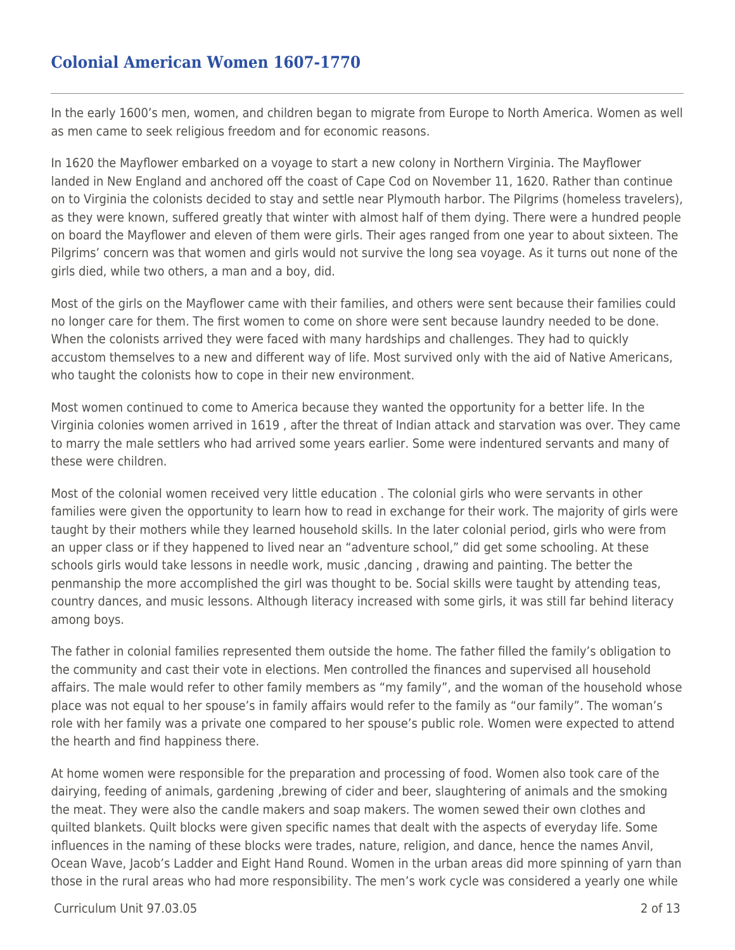### **Colonial American Women 1607-1770**

In the early 1600's men, women, and children began to migrate from Europe to North America. Women as well as men came to seek religious freedom and for economic reasons.

In 1620 the Mayflower embarked on a voyage to start a new colony in Northern Virginia. The Mayflower landed in New England and anchored off the coast of Cape Cod on November 11, 1620. Rather than continue on to Virginia the colonists decided to stay and settle near Plymouth harbor. The Pilgrims (homeless travelers), as they were known, suffered greatly that winter with almost half of them dying. There were a hundred people on board the Mayflower and eleven of them were girls. Their ages ranged from one year to about sixteen. The Pilgrims' concern was that women and girls would not survive the long sea voyage. As it turns out none of the girls died, while two others, a man and a boy, did.

Most of the girls on the Mayflower came with their families, and others were sent because their families could no longer care for them. The first women to come on shore were sent because laundry needed to be done. When the colonists arrived they were faced with many hardships and challenges. They had to quickly accustom themselves to a new and different way of life. Most survived only with the aid of Native Americans, who taught the colonists how to cope in their new environment.

Most women continued to come to America because they wanted the opportunity for a better life. In the Virginia colonies women arrived in 1619 , after the threat of Indian attack and starvation was over. They came to marry the male settlers who had arrived some years earlier. Some were indentured servants and many of these were children.

Most of the colonial women received very little education . The colonial girls who were servants in other families were given the opportunity to learn how to read in exchange for their work. The majority of girls were taught by their mothers while they learned household skills. In the later colonial period, girls who were from an upper class or if they happened to lived near an "adventure school," did get some schooling. At these schools girls would take lessons in needle work, music ,dancing , drawing and painting. The better the penmanship the more accomplished the girl was thought to be. Social skills were taught by attending teas, country dances, and music lessons. Although literacy increased with some girls, it was still far behind literacy among boys.

The father in colonial families represented them outside the home. The father filled the family's obligation to the community and cast their vote in elections. Men controlled the finances and supervised all household affairs. The male would refer to other family members as "my family", and the woman of the household whose place was not equal to her spouse's in family affairs would refer to the family as "our family". The woman's role with her family was a private one compared to her spouse's public role. Women were expected to attend the hearth and find happiness there.

At home women were responsible for the preparation and processing of food. Women also took care of the dairying, feeding of animals, gardening ,brewing of cider and beer, slaughtering of animals and the smoking the meat. They were also the candle makers and soap makers. The women sewed their own clothes and quilted blankets. Quilt blocks were given specific names that dealt with the aspects of everyday life. Some influences in the naming of these blocks were trades, nature, religion, and dance, hence the names Anvil, Ocean Wave, Jacob's Ladder and Eight Hand Round. Women in the urban areas did more spinning of yarn than those in the rural areas who had more responsibility. The men's work cycle was considered a yearly one while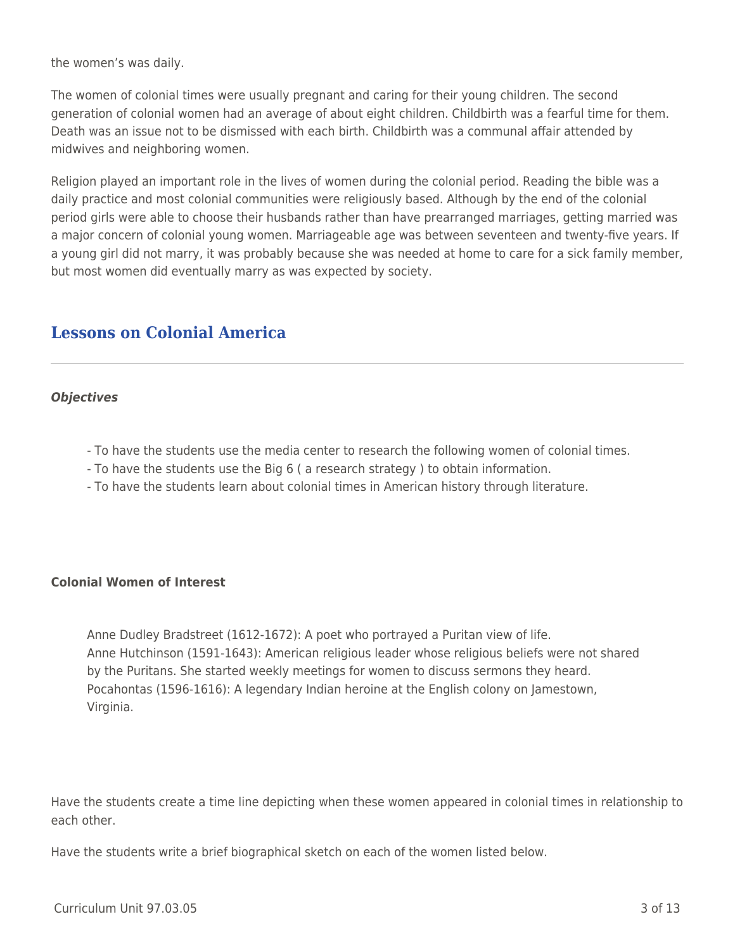the women's was daily.

The women of colonial times were usually pregnant and caring for their young children. The second generation of colonial women had an average of about eight children. Childbirth was a fearful time for them. Death was an issue not to be dismissed with each birth. Childbirth was a communal affair attended by midwives and neighboring women.

Religion played an important role in the lives of women during the colonial period. Reading the bible was a daily practice and most colonial communities were religiously based. Although by the end of the colonial period girls were able to choose their husbands rather than have prearranged marriages, getting married was a major concern of colonial young women. Marriageable age was between seventeen and twenty-five years. If a young girl did not marry, it was probably because she was needed at home to care for a sick family member, but most women did eventually marry as was expected by society.

### **Lessons on Colonial America**

#### *Objectives*

- To have the students use the media center to research the following women of colonial times.
- To have the students use the Big 6 ( a research strategy ) to obtain information.
- To have the students learn about colonial times in American history through literature.

#### **Colonial Women of Interest**

Anne Dudley Bradstreet (1612-1672): A poet who portrayed a Puritan view of life. Anne Hutchinson (1591-1643): American religious leader whose religious beliefs were not shared by the Puritans. She started weekly meetings for women to discuss sermons they heard. Pocahontas (1596-1616): A legendary Indian heroine at the English colony on Jamestown, Virginia.

Have the students create a time line depicting when these women appeared in colonial times in relationship to each other.

Have the students write a brief biographical sketch on each of the women listed below.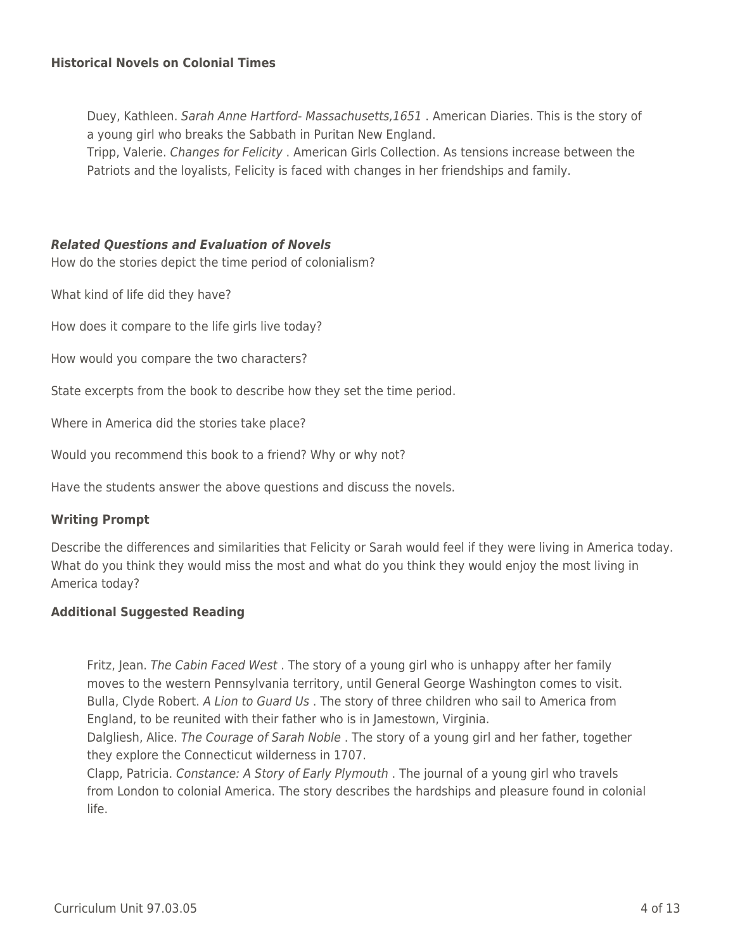#### **Historical Novels on Colonial Times**

Duey, Kathleen. Sarah Anne Hartford- Massachusetts,1651 . American Diaries. This is the story of a young girl who breaks the Sabbath in Puritan New England.

Tripp, Valerie. Changes for Felicity . American Girls Collection. As tensions increase between the Patriots and the loyalists, Felicity is faced with changes in her friendships and family.

#### *Related Questions and Evaluation of Novels*

How do the stories depict the time period of colonialism?

What kind of life did they have?

How does it compare to the life girls live today?

How would you compare the two characters?

State excerpts from the book to describe how they set the time period.

Where in America did the stories take place?

Would you recommend this book to a friend? Why or why not?

Have the students answer the above questions and discuss the novels.

#### **Writing Prompt**

Describe the differences and similarities that Felicity or Sarah would feel if they were living in America today. What do you think they would miss the most and what do you think they would enjoy the most living in America today?

#### **Additional Suggested Reading**

Fritz, Jean. The Cabin Faced West. The story of a young girl who is unhappy after her family moves to the western Pennsylvania territory, until General George Washington comes to visit. Bulla, Clyde Robert. A Lion to Guard Us. The story of three children who sail to America from England, to be reunited with their father who is in Jamestown, Virginia.

Dalgliesh, Alice. The Courage of Sarah Noble . The story of a young girl and her father, together they explore the Connecticut wilderness in 1707.

Clapp, Patricia. Constance: A Story of Early Plymouth . The journal of a young girl who travels from London to colonial America. The story describes the hardships and pleasure found in colonial life.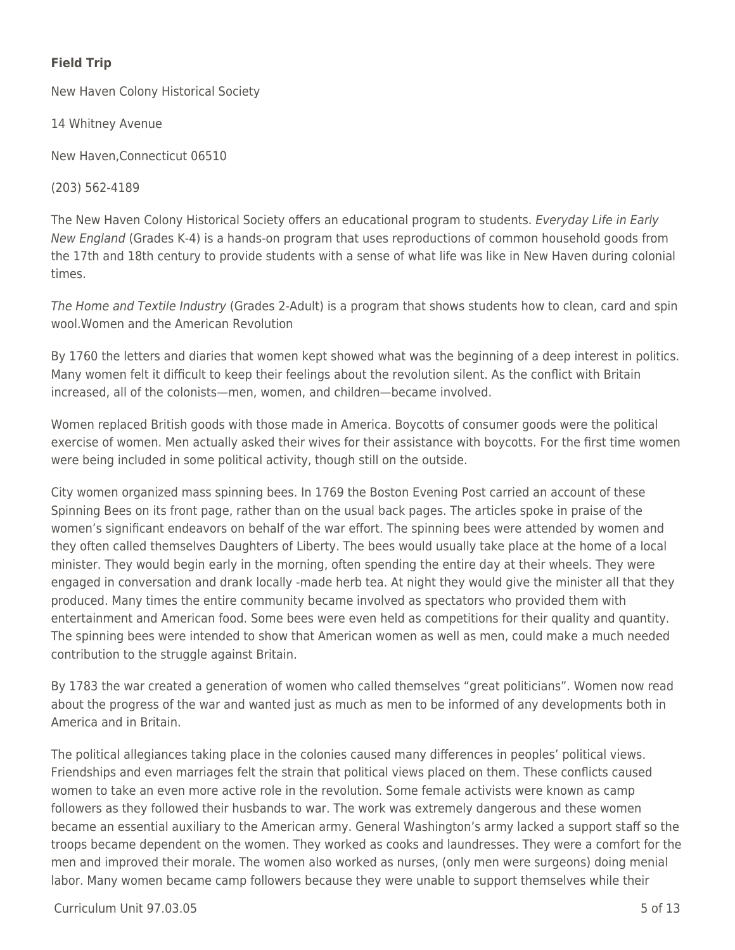### **Field Trip**

New Haven Colony Historical Society

14 Whitney Avenue

New Haven,Connecticut 06510

(203) 562-4189

The New Haven Colony Historical Society offers an educational program to students. Everyday Life in Early New England (Grades K-4) is a hands-on program that uses reproductions of common household goods from the 17th and 18th century to provide students with a sense of what life was like in New Haven during colonial times.

The Home and Textile Industry (Grades 2-Adult) is a program that shows students how to clean, card and spin wool.Women and the American Revolution

By 1760 the letters and diaries that women kept showed what was the beginning of a deep interest in politics. Many women felt it difficult to keep their feelings about the revolution silent. As the conflict with Britain increased, all of the colonists—men, women, and children—became involved.

Women replaced British goods with those made in America. Boycotts of consumer goods were the political exercise of women. Men actually asked their wives for their assistance with boycotts. For the first time women were being included in some political activity, though still on the outside.

City women organized mass spinning bees. In 1769 the Boston Evening Post carried an account of these Spinning Bees on its front page, rather than on the usual back pages. The articles spoke in praise of the women's significant endeavors on behalf of the war effort. The spinning bees were attended by women and they often called themselves Daughters of Liberty. The bees would usually take place at the home of a local minister. They would begin early in the morning, often spending the entire day at their wheels. They were engaged in conversation and drank locally -made herb tea. At night they would give the minister all that they produced. Many times the entire community became involved as spectators who provided them with entertainment and American food. Some bees were even held as competitions for their quality and quantity. The spinning bees were intended to show that American women as well as men, could make a much needed contribution to the struggle against Britain.

By 1783 the war created a generation of women who called themselves "great politicians". Women now read about the progress of the war and wanted just as much as men to be informed of any developments both in America and in Britain.

The political allegiances taking place in the colonies caused many differences in peoples' political views. Friendships and even marriages felt the strain that political views placed on them. These conflicts caused women to take an even more active role in the revolution. Some female activists were known as camp followers as they followed their husbands to war. The work was extremely dangerous and these women became an essential auxiliary to the American army. General Washington's army lacked a support staff so the troops became dependent on the women. They worked as cooks and laundresses. They were a comfort for the men and improved their morale. The women also worked as nurses, (only men were surgeons) doing menial labor. Many women became camp followers because they were unable to support themselves while their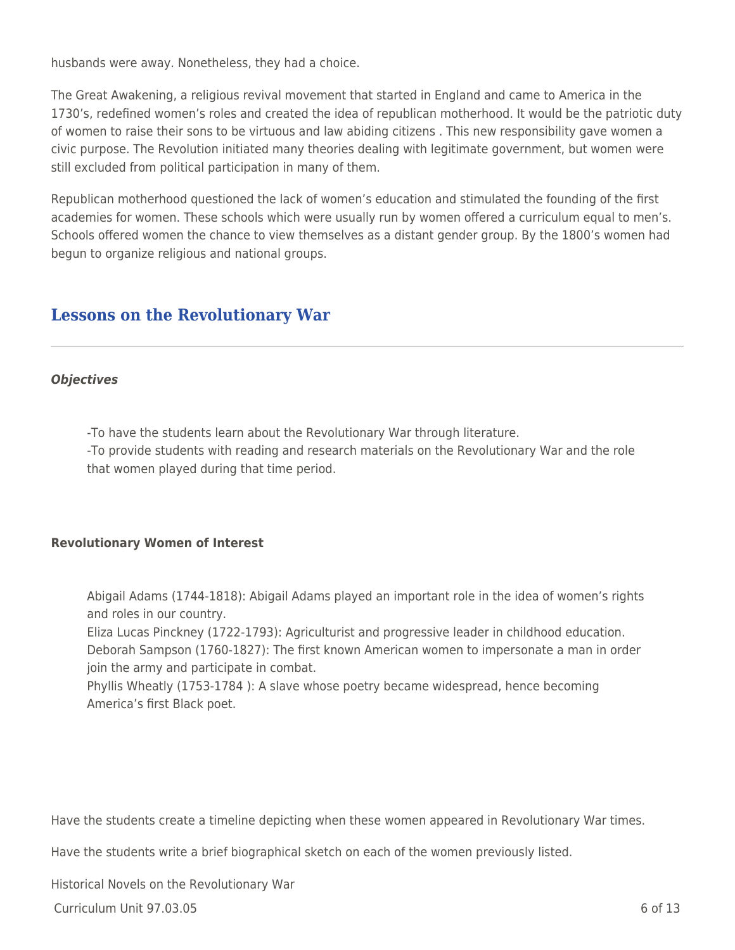husbands were away. Nonetheless, they had a choice.

The Great Awakening, a religious revival movement that started in England and came to America in the 1730's, redefined women's roles and created the idea of republican motherhood. It would be the patriotic duty of women to raise their sons to be virtuous and law abiding citizens . This new responsibility gave women a civic purpose. The Revolution initiated many theories dealing with legitimate government, but women were still excluded from political participation in many of them.

Republican motherhood questioned the lack of women's education and stimulated the founding of the first academies for women. These schools which were usually run by women offered a curriculum equal to men's. Schools offered women the chance to view themselves as a distant gender group. By the 1800's women had begun to organize religious and national groups.

### **Lessons on the Revolutionary War**

#### *Objectives*

-To have the students learn about the Revolutionary War through literature.

-To provide students with reading and research materials on the Revolutionary War and the role that women played during that time period.

#### **Revolutionary Women of Interest**

Abigail Adams (1744-1818): Abigail Adams played an important role in the idea of women's rights and roles in our country.

Eliza Lucas Pinckney (1722-1793): Agriculturist and progressive leader in childhood education. Deborah Sampson (1760-1827): The first known American women to impersonate a man in order join the army and participate in combat.

Phyllis Wheatly (1753-1784 ): A slave whose poetry became widespread, hence becoming America's first Black poet.

Have the students create a timeline depicting when these women appeared in Revolutionary War times.

Have the students write a brief biographical sketch on each of the women previously listed.

Historical Novels on the Revolutionary War

Curriculum Unit 97.03.05 6 of 13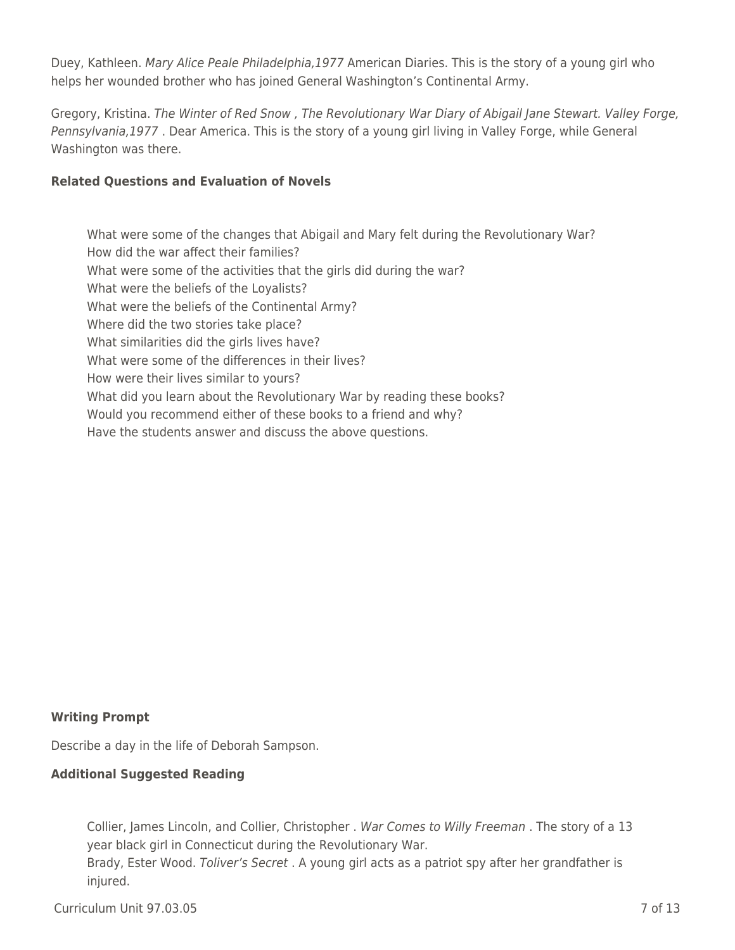Duey, Kathleen. Mary Alice Peale Philadelphia,1977 American Diaries. This is the story of a young girl who helps her wounded brother who has joined General Washington's Continental Army.

Gregory, Kristina. The Winter of Red Snow , The Revolutionary War Diary of Abigail Jane Stewart. Valley Forge, Pennsylvania,1977 . Dear America. This is the story of a young girl living in Valley Forge, while General Washington was there.

#### **Related Questions and Evaluation of Novels**

What were some of the changes that Abigail and Mary felt during the Revolutionary War? How did the war affect their families? What were some of the activities that the girls did during the war? What were the beliefs of the Loyalists? What were the beliefs of the Continental Army? Where did the two stories take place? What similarities did the girls lives have? What were some of the differences in their lives? How were their lives similar to yours? What did you learn about the Revolutionary War by reading these books? Would you recommend either of these books to a friend and why? Have the students answer and discuss the above questions.

#### **Writing Prompt**

Describe a day in the life of Deborah Sampson.

#### **Additional Suggested Reading**

Collier, James Lincoln, and Collier, Christopher . War Comes to Willy Freeman . The story of a 13 year black girl in Connecticut during the Revolutionary War. Brady, Ester Wood. Toliver's Secret . A young girl acts as a patriot spy after her grandfather is injured.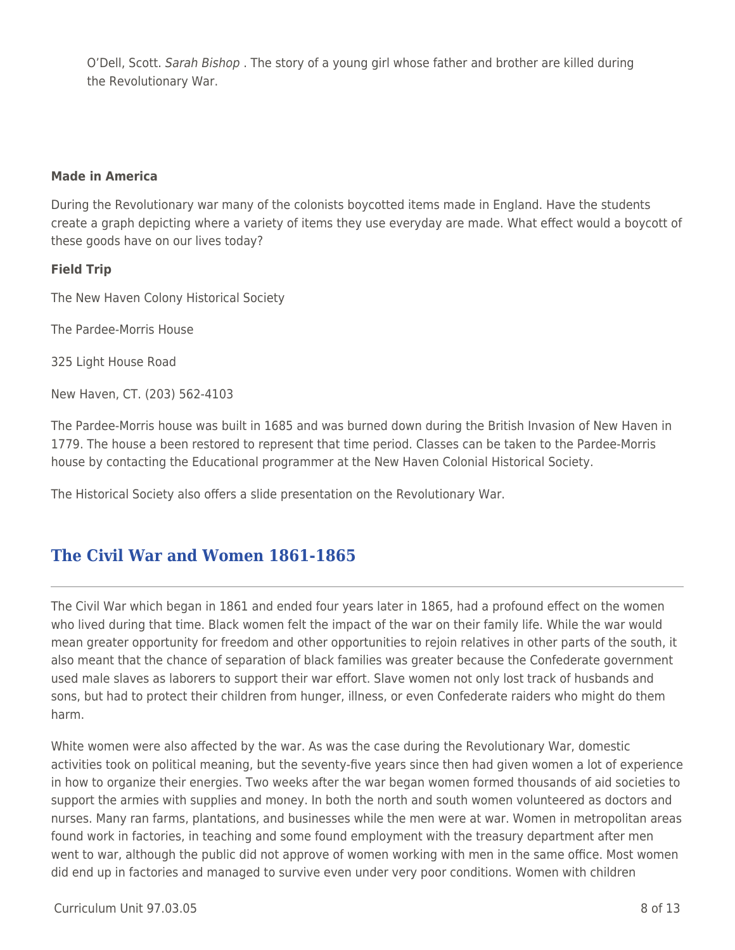O'Dell, Scott. Sarah Bishop . The story of a young girl whose father and brother are killed during the Revolutionary War.

#### **Made in America**

During the Revolutionary war many of the colonists boycotted items made in England. Have the students create a graph depicting where a variety of items they use everyday are made. What effect would a boycott of these goods have on our lives today?

#### **Field Trip**

The New Haven Colony Historical Society

The Pardee-Morris House

325 Light House Road

New Haven, CT. (203) 562-4103

The Pardee-Morris house was built in 1685 and was burned down during the British Invasion of New Haven in 1779. The house a been restored to represent that time period. Classes can be taken to the Pardee-Morris house by contacting the Educational programmer at the New Haven Colonial Historical Society.

The Historical Society also offers a slide presentation on the Revolutionary War.

### **The Civil War and Women 1861-1865**

The Civil War which began in 1861 and ended four years later in 1865, had a profound effect on the women who lived during that time. Black women felt the impact of the war on their family life. While the war would mean greater opportunity for freedom and other opportunities to rejoin relatives in other parts of the south, it also meant that the chance of separation of black families was greater because the Confederate government used male slaves as laborers to support their war effort. Slave women not only lost track of husbands and sons, but had to protect their children from hunger, illness, or even Confederate raiders who might do them harm.

White women were also affected by the war. As was the case during the Revolutionary War, domestic activities took on political meaning, but the seventy-five years since then had given women a lot of experience in how to organize their energies. Two weeks after the war began women formed thousands of aid societies to support the armies with supplies and money. In both the north and south women volunteered as doctors and nurses. Many ran farms, plantations, and businesses while the men were at war. Women in metropolitan areas found work in factories, in teaching and some found employment with the treasury department after men went to war, although the public did not approve of women working with men in the same office. Most women did end up in factories and managed to survive even under very poor conditions. Women with children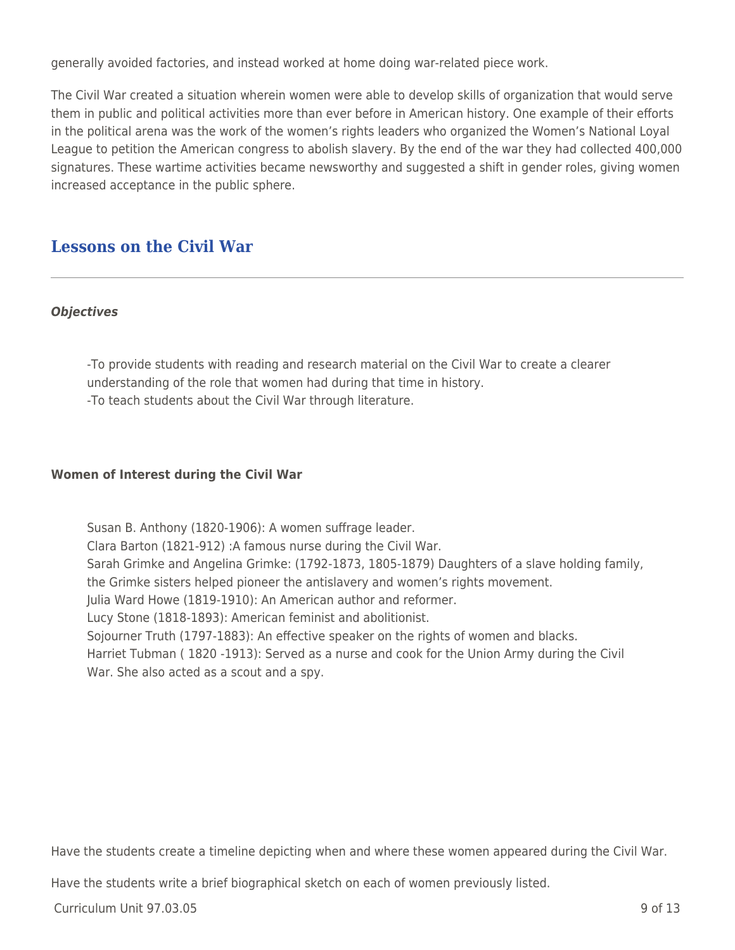generally avoided factories, and instead worked at home doing war-related piece work.

The Civil War created a situation wherein women were able to develop skills of organization that would serve them in public and political activities more than ever before in American history. One example of their efforts in the political arena was the work of the women's rights leaders who organized the Women's National Loyal League to petition the American congress to abolish slavery. By the end of the war they had collected 400,000 signatures. These wartime activities became newsworthy and suggested a shift in gender roles, giving women increased acceptance in the public sphere.

### **Lessons on the Civil War**

#### *Objectives*

-To provide students with reading and research material on the Civil War to create a clearer understanding of the role that women had during that time in history. -To teach students about the Civil War through literature.

#### **Women of Interest during the Civil War**

Susan B. Anthony (1820-1906): A women suffrage leader. Clara Barton (1821-912) :A famous nurse during the Civil War. Sarah Grimke and Angelina Grimke: (1792-1873, 1805-1879) Daughters of a slave holding family, the Grimke sisters helped pioneer the antislavery and women's rights movement. Julia Ward Howe (1819-1910): An American author and reformer. Lucy Stone (1818-1893): American feminist and abolitionist. Sojourner Truth (1797-1883): An effective speaker on the rights of women and blacks. Harriet Tubman ( 1820 -1913): Served as a nurse and cook for the Union Army during the Civil War. She also acted as a scout and a spy.

Have the students create a timeline depicting when and where these women appeared during the Civil War.

Have the students write a brief biographical sketch on each of women previously listed.

Curriculum Unit 97.03.05 9 of 13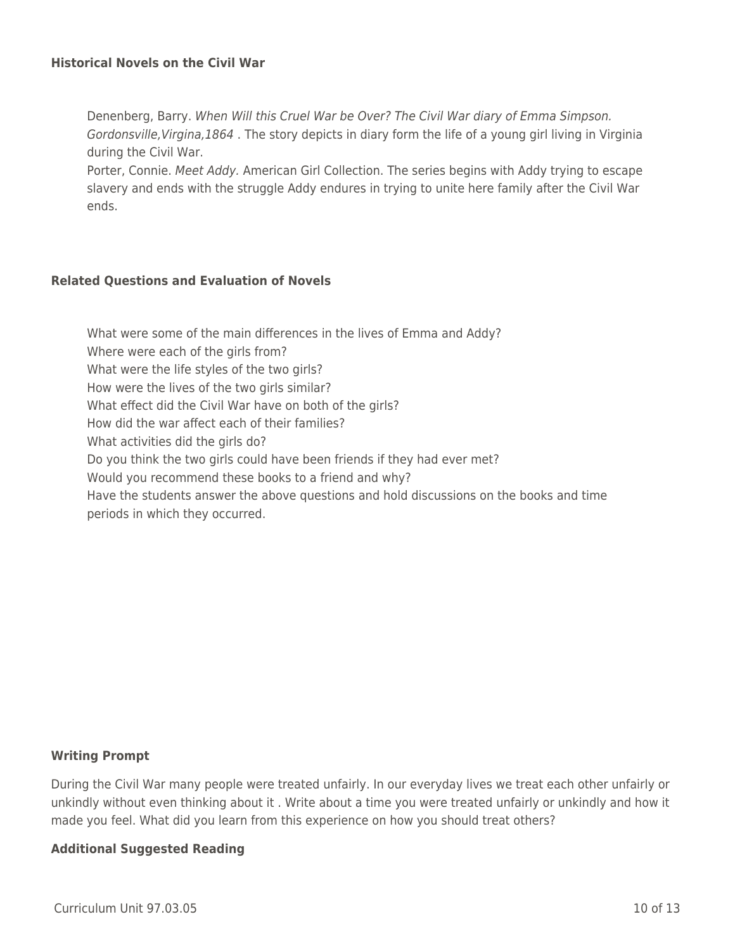#### **Historical Novels on the Civil War**

Denenberg, Barry. When Will this Cruel War be Over? The Civil War diary of Emma Simpson. Gordonsville,Virgina,1864 . The story depicts in diary form the life of a young girl living in Virginia during the Civil War.

Porter, Connie. Meet Addy. American Girl Collection. The series begins with Addy trying to escape slavery and ends with the struggle Addy endures in trying to unite here family after the Civil War ends.

#### **Related Questions and Evaluation of Novels**

What were some of the main differences in the lives of Emma and Addy? Where were each of the girls from? What were the life styles of the two girls? How were the lives of the two girls similar? What effect did the Civil War have on both of the girls? How did the war affect each of their families? What activities did the girls do? Do you think the two girls could have been friends if they had ever met? Would you recommend these books to a friend and why? Have the students answer the above questions and hold discussions on the books and time periods in which they occurred.

#### **Writing Prompt**

During the Civil War many people were treated unfairly. In our everyday lives we treat each other unfairly or unkindly without even thinking about it . Write about a time you were treated unfairly or unkindly and how it made you feel. What did you learn from this experience on how you should treat others?

#### **Additional Suggested Reading**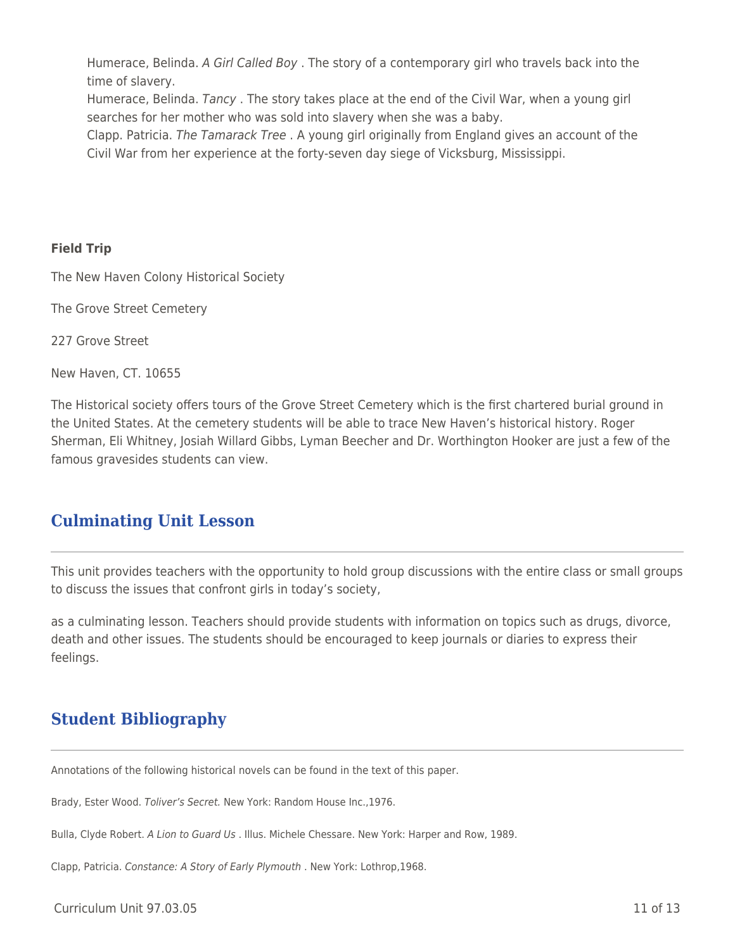Humerace, Belinda. A Girl Called Boy . The story of a contemporary girl who travels back into the time of slavery.

Humerace, Belinda. Tancy . The story takes place at the end of the Civil War, when a young girl searches for her mother who was sold into slavery when she was a baby.

Clapp. Patricia. The Tamarack Tree . A young girl originally from England gives an account of the Civil War from her experience at the forty-seven day siege of Vicksburg, Mississippi.

#### **Field Trip**

The New Haven Colony Historical Society

The Grove Street Cemetery

227 Grove Street

New Haven, CT. 10655

The Historical society offers tours of the Grove Street Cemetery which is the first chartered burial ground in the United States. At the cemetery students will be able to trace New Haven's historical history. Roger Sherman, Eli Whitney, Josiah Willard Gibbs, Lyman Beecher and Dr. Worthington Hooker are just a few of the famous gravesides students can view.

### **Culminating Unit Lesson**

This unit provides teachers with the opportunity to hold group discussions with the entire class or small groups to discuss the issues that confront girls in today's society,

as a culminating lesson. Teachers should provide students with information on topics such as drugs, divorce, death and other issues. The students should be encouraged to keep journals or diaries to express their feelings.

## **Student Bibliography**

Annotations of the following historical novels can be found in the text of this paper.

Brady, Ester Wood. Toliver's Secret. New York: Random House Inc.,1976.

Bulla, Clyde Robert. A Lion to Guard Us . Illus. Michele Chessare. New York: Harper and Row, 1989.

Clapp, Patricia. Constance: A Story of Early Plymouth . New York: Lothrop,1968.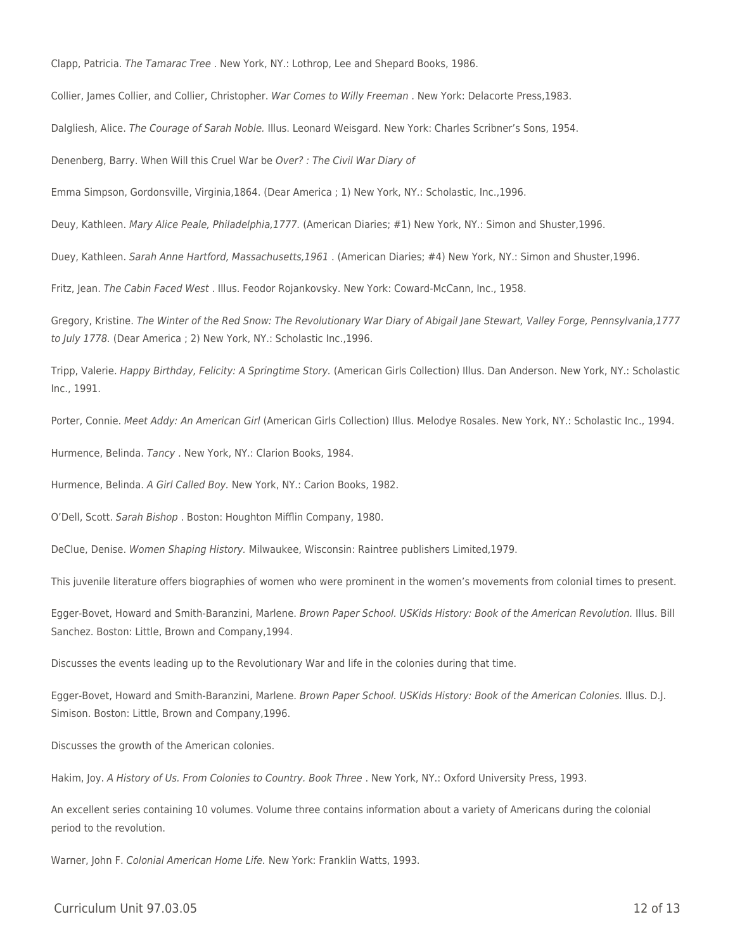Clapp, Patricia. The Tamarac Tree . New York, NY.: Lothrop, Lee and Shepard Books, 1986.

Collier, James Collier, and Collier, Christopher. War Comes to Willy Freeman . New York: Delacorte Press,1983.

Dalgliesh, Alice. The Courage of Sarah Noble. Illus. Leonard Weisgard. New York: Charles Scribner's Sons, 1954.

Denenberg, Barry. When Will this Cruel War be Over? : The Civil War Diary of

Emma Simpson, Gordonsville, Virginia,1864. (Dear America ; 1) New York, NY.: Scholastic, Inc.,1996.

Deuy, Kathleen. Mary Alice Peale, Philadelphia,1777. (American Diaries; #1) New York, NY.: Simon and Shuster,1996.

Duey, Kathleen. Sarah Anne Hartford, Massachusetts,1961 . (American Diaries; #4) New York, NY.: Simon and Shuster,1996.

Fritz, Jean. The Cabin Faced West . Illus. Feodor Rojankovsky. New York: Coward-McCann, Inc., 1958.

Gregory, Kristine. The Winter of the Red Snow: The Revolutionary War Diary of Abigail Jane Stewart, Valley Forge, Pennsylvania,1777 to July 1778. (Dear America ; 2) New York, NY.: Scholastic Inc.,1996.

Tripp, Valerie. Happy Birthday, Felicity: A Springtime Story. (American Girls Collection) Illus. Dan Anderson. New York, NY.: Scholastic Inc., 1991.

Porter, Connie. Meet Addy: An American Girl (American Girls Collection) Illus. Melodye Rosales. New York, NY.: Scholastic Inc., 1994.

Hurmence, Belinda. Tancy . New York, NY.: Clarion Books, 1984.

Hurmence, Belinda. A Girl Called Boy. New York, NY.: Carion Books, 1982.

O'Dell, Scott. Sarah Bishop . Boston: Houghton Mifflin Company, 1980.

DeClue, Denise. Women Shaping History. Milwaukee, Wisconsin: Raintree publishers Limited,1979.

This juvenile literature offers biographies of women who were prominent in the women's movements from colonial times to present.

Egger-Bovet, Howard and Smith-Baranzini, Marlene. Brown Paper School. USKids History: Book of the American Revolution. Illus. Bill Sanchez. Boston: Little, Brown and Company,1994.

Discusses the events leading up to the Revolutionary War and life in the colonies during that time.

Egger-Bovet, Howard and Smith-Baranzini, Marlene. Brown Paper School. USKids History: Book of the American Colonies. Illus. D.J. Simison. Boston: Little, Brown and Company,1996.

Discusses the growth of the American colonies.

Hakim, Joy. A History of Us. From Colonies to Country. Book Three . New York, NY.: Oxford University Press, 1993.

An excellent series containing 10 volumes. Volume three contains information about a variety of Americans during the colonial period to the revolution.

Warner, John F. Colonial American Home Life. New York: Franklin Watts, 1993.